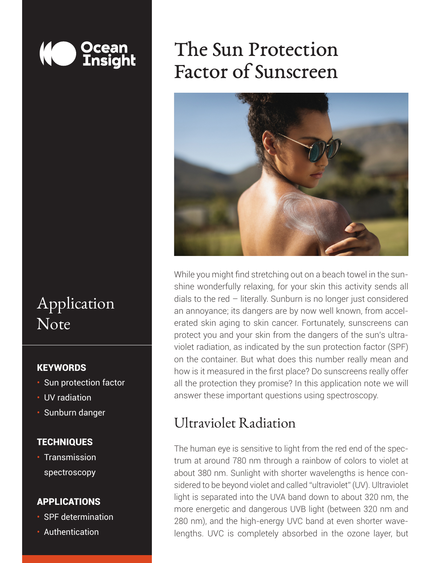

## Application **Note**

#### **KEYWORDS**

- Sun protection factor
- UV radiation
- Sunburn danger

#### **TECHNIQUES**

• Transmission spectroscopy

#### APPLICATIONS

- SPF determination
- Authentication

# The Sun Protection Factor of Sunscreen



While you might find stretching out on a beach towel in the sunshine wonderfully relaxing, for your skin this activity sends all dials to the red – literally. Sunburn is no longer just considered an annoyance; its dangers are by now well known, from accelerated skin aging to skin cancer. Fortunately, sunscreens can protect you and your skin from the dangers of the sun's ultraviolet radiation, as indicated by the sun protection factor (SPF) on the container. But what does this number really mean and how is it measured in the first place? Do sunscreens really offer all the protection they promise? In this application note we will answer these important questions using spectroscopy.

#### Ultraviolet Radiation

*Unlocking the Unknown with Applied Spectral Knowledge.* lengths. UVC is completely absorbed in the ozone layer, but The human eye is sensitive to light from the red end of the spectrum at around 780 nm through a rainbow of colors to violet at about 380 nm. Sunlight with shorter wavelengths is hence considered to be beyond violet and called "ultraviolet" (UV). Ultraviolet light is separated into the UVA band down to about 320 nm, the more energetic and dangerous UVB light (between 320 nm and 280 nm), and the high-energy UVC band at even shorter wave-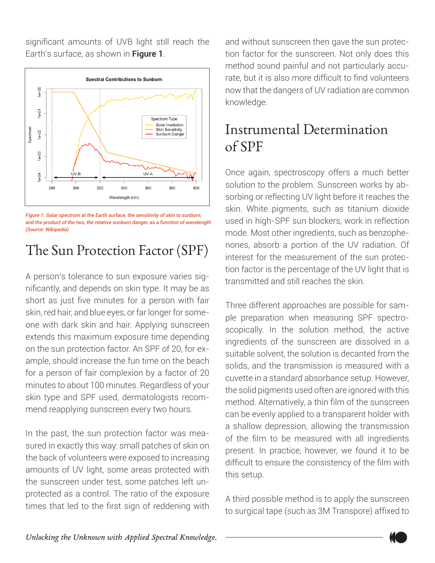significant amounts of UVB light still reach the Earth's surface, as shown in **Figure 1**.



*Figure 1. Solar spectrum at the Earth surface, the sensitivity of skin to sunburn, and the product of the two, the relative sunburn danger, as a function of wavelength (Source: Wikipedia)*

### The Sun Protection Factor (SPF)

A person's tolerance to sun exposure varies significantly, and depends on skin type. It may be as short as just five minutes for a person with fair skin, red hair, and blue eyes, or far longer for someone with dark skin and hair. Applying sunscreen extends this maximum exposure time depending on the sun protection factor. An SPF of 20, for example, should increase the fun time on the beach for a person of fair complexion by a factor of 20 minutes to about 100 minutes. Regardless of your skin type and SPF used, dermatologists recommend reapplying sunscreen every two hours.

In the past, the sun protection factor was measured in exactly this way: small patches of skin on the back of volunteers were exposed to increasing amounts of UV light, some areas protected with the sunscreen under test, some patches left unprotected as a control. The ratio of the exposure times that led to the first sign of reddening with

and without sunscreen then gave the sun protection factor for the sunscreen. Not only does this method sound painful and not particularly accurate, but it is also more difficult to find volunteers now that the dangers of UV radiation are common knowledge.

### Instrumental Determination of SPF

Once again, spectroscopy offers a much better solution to the problem. Sunscreen works by absorbing or reflecting UV light before it reaches the skin. White pigments, such as titanium dioxide used in high-SPF sun blockers, work in reflection mode. Most other ingredients, such as benzophenones, absorb a portion of the UV radiation. Of interest for the measurement of the sun protection factor is the percentage of the UV light that is transmitted and still reaches the skin.

Three different approaches are possible for sample preparation when measuring SPF spectroscopically. In the solution method, the active ingredients of the sunscreen are dissolved in a suitable solvent, the solution is decanted from the solids, and the transmission is measured with a cuvette in a standard absorbance setup. However, the solid pigments used often are ignored with this method. Alternatively, a thin film of the sunscreen can be evenly applied to a transparent holder with a shallow depression, allowing the transmission of the film to be measured with all ingredients present. In practice, however, we found it to be difficult to ensure the consistency of the film with this setup.

A third possible method is to apply the sunscreen to surgical tape (such as 3M Transpore) affixed to

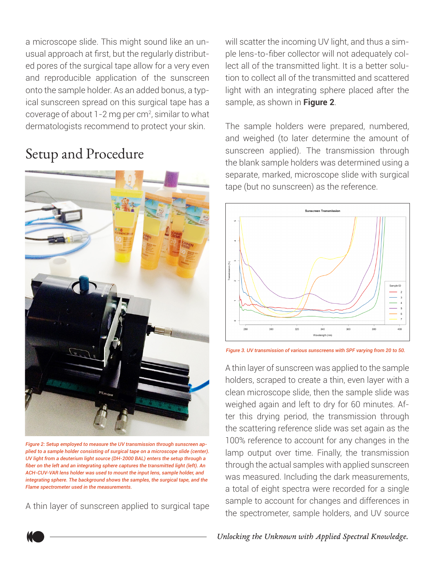a microscope slide. This might sound like an unusual approach at first, but the regularly distributed pores of the surgical tape allow for a very even and reproducible application of the sunscreen onto the sample holder. As an added bonus, a typical sunscreen spread on this surgical tape has a coverage of about 1-2 mg per cm<sup>2</sup>, similar to what dermatologists recommend to protect your skin.

#### Setup and Procedure



*Figure 2: Setup employed to measure the UV transmission through sunscreen applied to a sample holder consisting of surgical tape on a microscope slide (center). UV light from a deuterium light source (DH-2000 BAL) enters the setup through a fiber on the left and an integrating sphere captures the transmitted light (left). An ACH-CUV-VAR lens holder was used to mount the input lens, sample holder, and integrating sphere. The background shows the samples, the surgical tape, and the Flame spectrometer used in the measurements.*

A thin layer of sunscreen applied to surgical tape

will scatter the incoming UV light, and thus a simple lens-to-fiber collector will not adequately collect all of the transmitted light. It is a better solution to collect all of the transmitted and scattered light with an integrating sphere placed after the sample, as shown in **Figure 2**.

The sample holders were prepared, numbered, and weighed (to later determine the amount of sunscreen applied). The transmission through the blank sample holders was determined using a separate, marked, microscope slide with surgical tape (but no sunscreen) as the reference.



*Figure 3. UV transmission of various sunscreens with SPF varying from 20 to 50.*

A thin layer of sunscreen was applied to the sample holders, scraped to create a thin, even layer with a clean microscope slide, then the sample slide was weighed again and left to dry for 60 minutes. After this drying period, the transmission through the scattering reference slide was set again as the 100% reference to account for any changes in the lamp output over time. Finally, the transmission through the actual samples with applied sunscreen was measured. Including the dark measurements, a total of eight spectra were recorded for a single sample to account for changes and differences in the spectrometer, sample holders, and UV source

*Unlocking the Unknown with Applied Spectral Knowledge.*